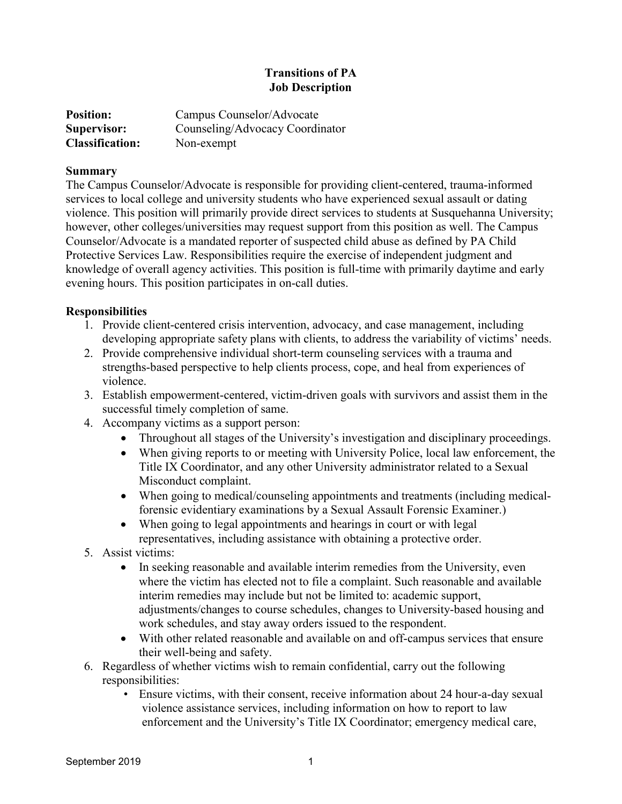# **Transitions of PA Job Description**

| <b>Position:</b>       | Campus Counselor/Advocate       |
|------------------------|---------------------------------|
| Supervisor:            | Counseling/Advocacy Coordinator |
| <b>Classification:</b> | Non-exempt                      |

#### **Summary**

The Campus Counselor/Advocate is responsible for providing client-centered, trauma-informed services to local college and university students who have experienced sexual assault or dating violence. This position will primarily provide direct services to students at Susquehanna University; however, other colleges/universities may request support from this position as well. The Campus Counselor/Advocate is a mandated reporter of suspected child abuse as defined by PA Child Protective Services Law. Responsibilities require the exercise of independent judgment and knowledge of overall agency activities. This position is full-time with primarily daytime and early evening hours. This position participates in on-call duties.

### **Responsibilities**

- 1. Provide client-centered crisis intervention, advocacy, and case management, including developing appropriate safety plans with clients, to address the variability of victims' needs.
- 2. Provide comprehensive individual short-term counseling services with a trauma and strengths-based perspective to help clients process, cope, and heal from experiences of violence.
- 3. Establish empowerment-centered, victim-driven goals with survivors and assist them in the successful timely completion of same.
- 4. Accompany victims as a support person:
	- Throughout all stages of the University's investigation and disciplinary proceedings.
	- When giving reports to or meeting with University Police, local law enforcement, the Title IX Coordinator, and any other University administrator related to a Sexual Misconduct complaint.
	- When going to medical/counseling appointments and treatments (including medicalforensic evidentiary examinations by a Sexual Assault Forensic Examiner.)
	- When going to legal appointments and hearings in court or with legal representatives, including assistance with obtaining a protective order.
- 5. Assist victims:
	- In seeking reasonable and available interim remedies from the University, even where the victim has elected not to file a complaint. Such reasonable and available interim remedies may include but not be limited to: academic support, adjustments/changes to course schedules, changes to University-based housing and work schedules, and stay away orders issued to the respondent.
	- With other related reasonable and available on and off-campus services that ensure their well-being and safety.
- 6. Regardless of whether victims wish to remain confidential, carry out the following responsibilities:
	- Ensure victims, with their consent, receive information about 24 hour-a-day sexual violence assistance services, including information on how to report to law enforcement and the University's Title IX Coordinator; emergency medical care,